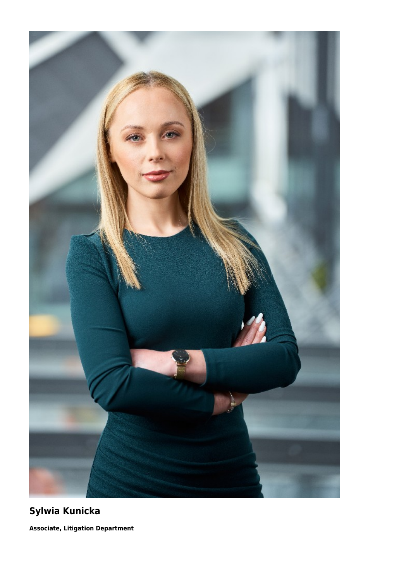

# **Sylwia Kunicka**

**Associate, Litigation Department**